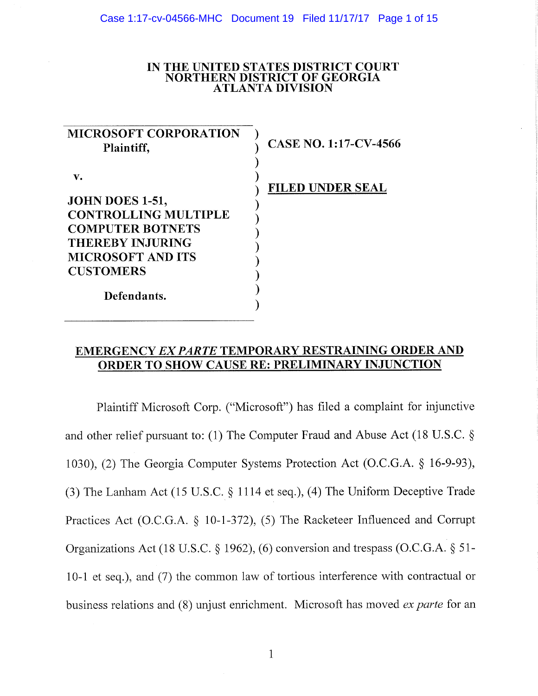### **IN THE UNITED STATES DISTRICT COURT NORTHERN DISTRICT OF GEORGIA ATLANTA DIVISION**

| <b>MICROSOFT CORPORATION</b><br>Plaintiff,                                                                                                                                | <b>CASE NO. 1:17-CV-4566</b> |
|---------------------------------------------------------------------------------------------------------------------------------------------------------------------------|------------------------------|
| v.<br>JOHN DOES 1-51,<br><b>CONTROLLING MULTIPLE</b><br><b>COMPUTER BOTNETS</b><br><b>THEREBY INJURING</b><br><b>MICROSOFT AND ITS</b><br><b>CUSTOMERS</b><br>Defendants. | <b>FILED UNDER SEAL</b>      |

# **EMERGENCY** *EX PARTE* **TEMPORARY RESTRAINING ORDER AND ORDER TO SHOW CAUSE RE: PRELIMINARY INJUNCTION**

Plaintiff Microsoft Corp. ("Microsoft") has filed a complaint for injunctive and other relief pursuant to: (1) The Computer Fraud and Abuse Act (18 U.S.C. § 1030), (2) The Georgia Computer Systems Protection Act (O.C.G.A. § 16-9-93), (3) The Lanham Act (15 U.S.C. § 1114 et seq.), (4) The Uniform Deceptive Trade Practices Act (O.C.G.A. § 10-1-372), (5) The Racketeer Influenced and Corrupt Organizations Act (18 U.S.C. § 1962), (6) conversion and trespass (O.C.G.A. § 51- 10-1 et seq.), and (7) the common law of tortious interference with contractual or business relations and (8) unjust enrichment. Microsoft has moved *ex parte* for an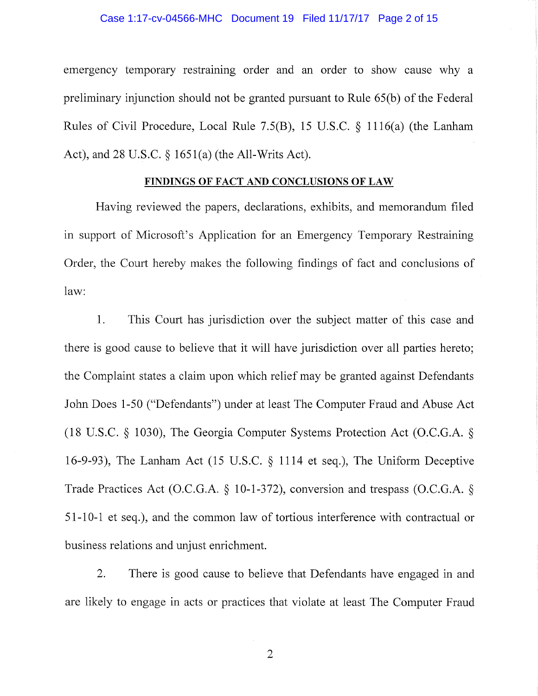#### Case 1:17-cv-04566-MHC Document 19 Filed 11/17/17 Page 2 of 15

emergency temporary restraining order and an order to show cause why a preliminary injunction should not be granted pursuant to Rule 65(b) of the Federal Rules of Civil Procedure, Local Rule 7.5(B), 15 U.S.C. § 1116(a) (the Lanham Act), and 28 U.S.C. § 1651(a) (the All-Writs Act).

### **FINDINGS O F FAC T AND CONCLUSION S O F LA W**

Having reviewed the papers, declarations, exhibits, and memorandum filed in support of Microsoft's Application for an Emergency Temporary Restraining Order, the Court hereby makes the following findings of fact and conclusions of law:

1. This Court has jurisdiction over the subject matter of this case and there is good cause to believe that it will have jurisdiction over all parties hereto; the Complaint states a claim upon which relief may be granted against Defendants John Does 1-50 ("Defendants") under at least The Computer Fraud and Abuse Act (18 U.S.C. § 1030), The Georgia Computer Systems Protection Act (O.C.G.A. § 16-9-93), The Lanham Act (15 U.S.C. § 1114 et seq.). The Uniform Deceptive Trade Practices Act (O.C.G.A. § 10-1-372), conversion and trespass (O.C.G.A. § 51-10-1 et seq.), and the common law of tortious interference with contractual or business relations and unjust enrichment.

2. There is good cause to believe that Defendants have engaged in and are likely to engage in acts or practices that violate at least The Computer Fraud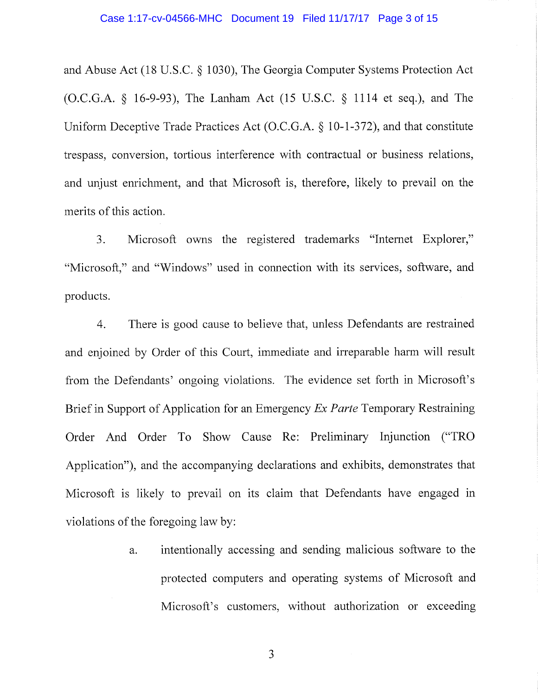and Abuse Act (18 U.S.C. § 1030), The Georgia Computer Systems Protection Act (O.C.G.A. § 16-9-93), The Lanham Act (15 U.S.C. § 1114 et seq.), and The Uniform Deceptive Trade Practices Act (O.C.G.A. § 10-1-372), and that constitute trespass, conversion, tortious interference with contractual or business relations, and unjust enrichment, and that Microsoft is, therefore, likely to prevail on the merits of this action.

3. Microsoft owns the registered trademarks "Internet Explorer," "Microsoft," and "Windows" used in connection with its services, software, and products.

4. There is good cause to believe that, unless Defendants are restrained and enjoined by Order of this Court, immediate and irreparable harm will result from the Defendants' ongoing violations. The evidence set forth in Microsoft's Brief in Support of Application for an Emergency *Ex Parte* Temporary Restraining Order And Order To Show Cause Re: Preliminary Injunction ("TRO Application"), and the accompanying declarations and exhibits, demonstrates that Microsoft is likely to prevail on its claim that Defendants have engaged in violations of the foregoing law by:

> a. intentionally accessing and sending malicious software to the protected computers and operating systems of Microsoft and Microsoft's customers, without authorization or exceeding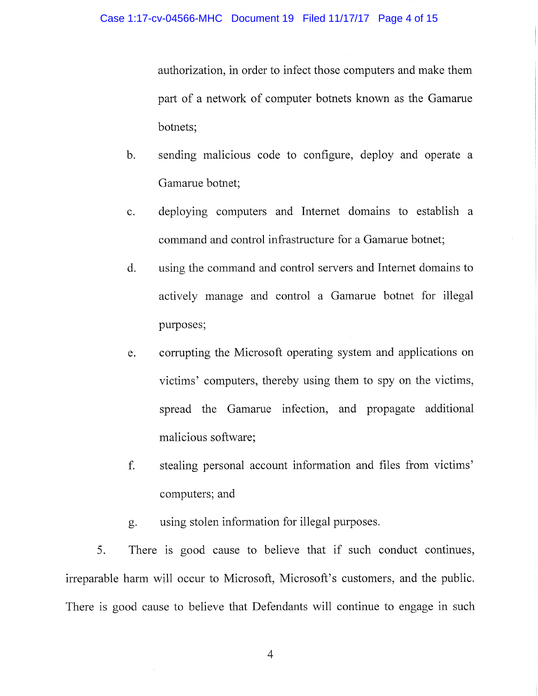authorization, in order to infect those computers and make them part of a network of computer botnets known as the Gamarue botnets;

- b. sending malicious code to configure, deploy and operate a Gamarue botnet;
- c. deploying computers and Internet domains to establish a command and control infrastructure for a Gamarue botnet;
- d. using the command and control servers and Intemet domains to actively manage and control a Gamarue botnet for illegal purposes;
- e. corrupting the Microsoft operating system and applications on victims' computers, thereby using them to spy on the victims, spread the Gamarue infection, and propagate additional malicious software;
- f. stealing personal account information and files from victims' computers; and
- g. using stolen information for illegal purposes.

5. There is good cause to believe that if such conduct continues, irreparable harm will occur to Microsoft, Microsoft's customers, and the public. There is good cause to believe that Defendants will continue to engage in such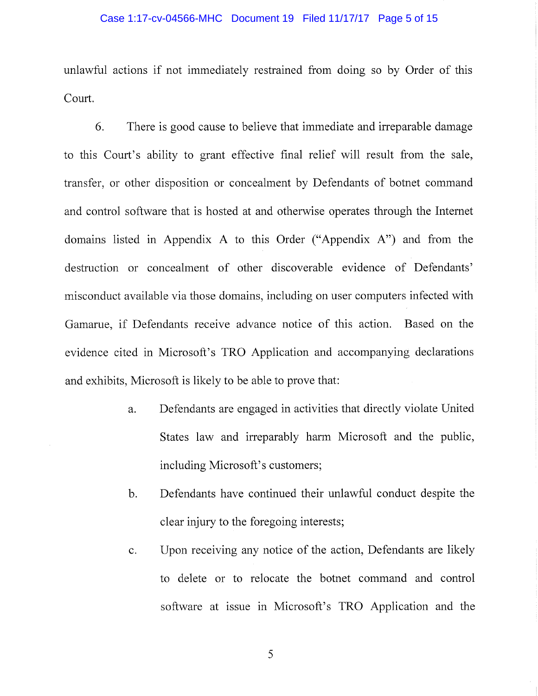#### Case 1:17-cv-04566-MHC Document 19 Filed 11/17/17 Page 5 of 15

unlawful actions if not immediately restrained from doing so by Order of this Court.

6. There is good cause to believe that immediate and irreparable damage to this Court's ability to grant effective fmal relief will result from the sale, transfer, or other disposition or concealment by Defendants of botnet command and control software that is hosted at and otherwise operates through the Intemet domains listed in Appendix A to this Order ("Appendix A") and from the destruction or concealment of other discoverable evidence of Defendants' misconduct available via those domains, including on user computers infected with Gamarue, if Defendants receive advance notice of this action. Based on the evidence cited in Microsoft's TRO Application and accompanying declarations and exhibits, Microsoft is likely to be able to prove that:

- a. Defendants are engaged in activities that directly violate United States law and irreparably harm Microsoft and the public, including Microsoft's customers;
- b. Defendants have continued their unlawful conduct despite the clear injury to the foregoing interests;
- c. Upon receiving any notice of the action, Defendants are likely to delete or to relocate the botnet command and control software at issue in Microsoft's TRO Application and the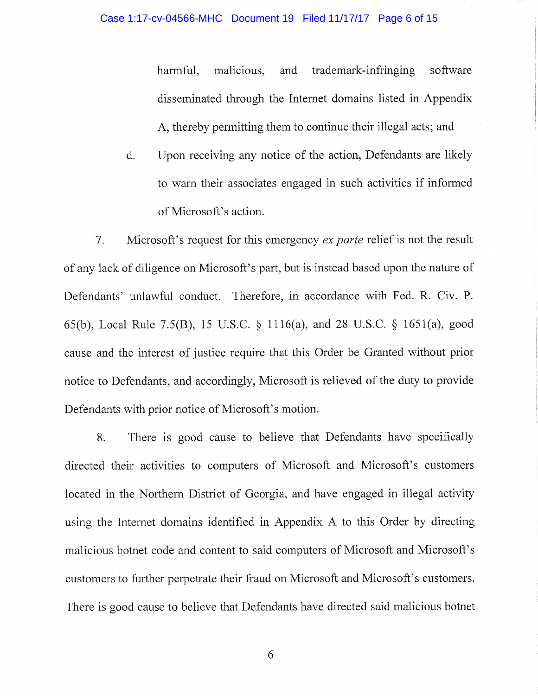harmful, malicious, and trademark-infringing software disseminated through the Intemet domains listed in Appendix A, thereby permitting them to continue their illegal acts; and

d. Upon receiving any notice of the action. Defendants are likely to warn their associates engaged in such activities if informed of Microsoft's action.

7. Microsoft's request for this emergency *ex parte* relief is not the result of any lack of diligence on Microsoft's part, but is instead based upon the nature of Defendants' unlawful conduct. Therefore, in accordance with Fed. R. Civ. P. 65(b), Local Rule 7.5(B), 15 U.S.C. § 1116(a), and 28 U.S.C. § 1651(a), good cause and the interest of justice require that this Order be Granted without prior notice to Defendants, and accordingly, Microsoft is relieved of the duty to provide Defendants with prior notice of Microsoft's motion.

8. There is good cause to believe that Defendants have specifically directed their activities to computers of Microsoft and Microsoft's customers located in the Northern District of Georgia, and have engaged in illegal activity using the Intemet domains identified in Appendix A to this Order by directing malicious botnet code and content to said computers of Microsoft and Microsoft's customers to further perpetrate their fraud on Microsoft and Microsoft's customers. There is good cause to believe that Defendants have directed said malicious botnet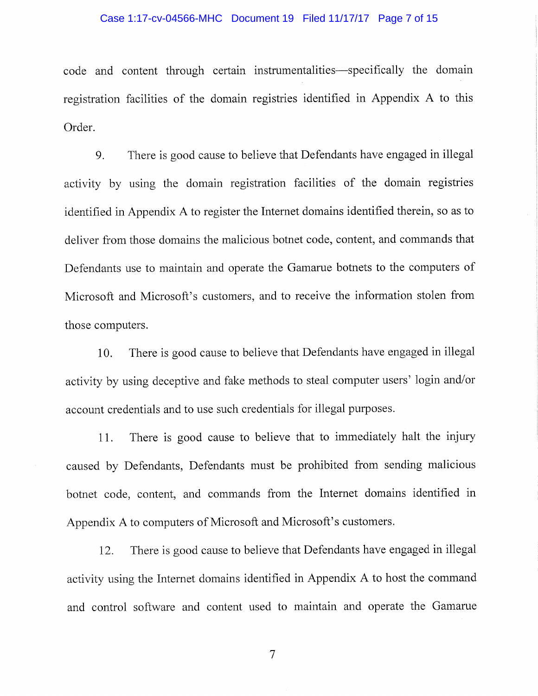#### Case 1:17-cv-04566-MHC Document 19 Filed 11/17/17 Page 7 of 15

code and content through certain instrumentalities—specifically the domain registration facilities of the domain registries identified in Appendix A to this Order.

9. There is good cause to believe that Defendants have engaged in illegal activity by using the domain registration facilities of the domain registries identified in Appendix A to register the Internet domains identified therein, so as to deliver from those domains the malicious botnet code, content, and commands that Defendants use to maintain and operate the Gamarue botnets to the computers of Microsoft and Microsoft's customers, and to receive the information stolen from those computers.

10. There is good cause to believe that Defendants have engaged in illegal activity by using deceptive and fake methods to steal computer users' login and/or account credentials and to use such credentials for illegal purposes.

11. There is good cause to believe that to immediately halt the injury caused by Defendants, Defendants must be prohibited from sending malicious botnet code, content, and commands from the Internet domains identified in Appendix A to computers of Microsoft and Microsoft's customers.

12. There is good cause to believe that Defendants have engaged in illegal activity using the Internet domains identified in Appendix A to host the command and control software and content used to maintain and operate the Gamarue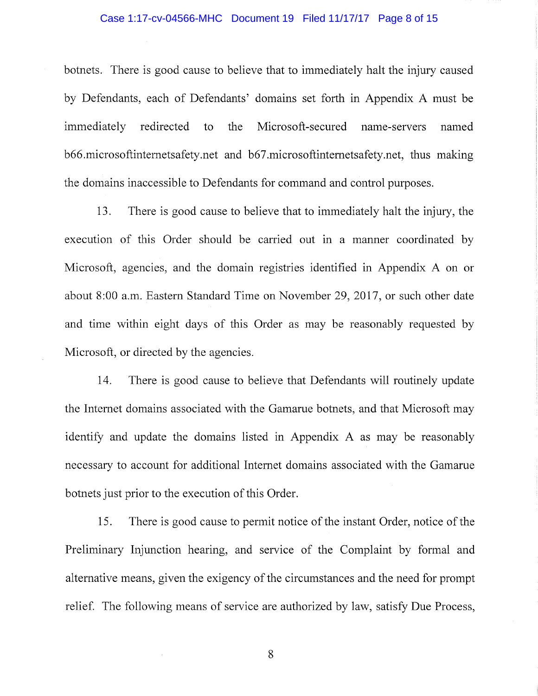# Case 1:17-cv-04566-MHC Document 19 Filed 11/17/17 Page 8 of 15

botnets. There is good cause to believe that to immediately halt the injury caused by Defendants, each of Defendants' domains set forth in Appendix A must be immediately redirected to the Microsoft-secured name-servers named b66.microsoftintemetsafety.net and b67.microsoftintemetsafety.net, thus making the domains inaccessible to Defendants for command and control purposes.

13. There is good cause to believe that to immediately halt the injury, the execution of this Order should be carried out in a manner coordinated by Microsoft, agencies, and the domain registries identified in Appendix A on or about 8:00 a.m. Eastern Standard Time on November 29, 2017, or such other date and time within eight days of this Order as may be reasonably requested by Microsoft, or directed by the agencies.

14. There is good cause to believe that Defendants will routinely update the Intemet domains associated with the Gamarue botnets, and that Microsoft may identify and update the domains listed in Appendix A as may be reasonably necessary to account for additional Intemet domains associated with the Gamarue botnets just prior to the execution of this Order.

15. There is good cause to permit notice of the instant Order, notice of the Preliminary Injunction hearing, and service of the Complaint by formal and alternative means, given the exigency of the circumstances and the need for prompt relief. The following means of service are authorized by law, satisfy Due Process,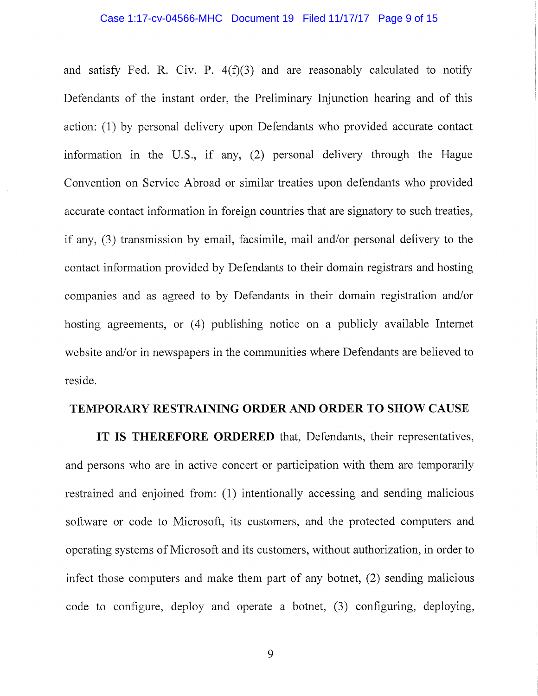#### Case 1:17-cv-04566-MHC Document 19 Filed 11/17/17 Page 9 of 15

and satisfy Fed. R. Civ. P.  $4(f)(3)$  and are reasonably calculated to notify Defendants of the instant order, the Preliminary Injunction hearing and of this action: (1) by personal delivery upon Defendants who provided accurate contact information in the U.S., if any, (2) personal delivery through the Hague Convention on Service Abroad or similar treaties upon defendants who provided accurate contact information in foreign countries that are signatory to such treaties, if any, (3) transmission by email, facsimile, mail and/or personal delivery to the contact information provided by Defendants to their domain registrars and hosting companies and as agreed to by Defendants in their domain registration and/or hosting agreements, or (4) publishing notice on a publicly available Intemet website and/or in newspapers in the communities where Defendants are believed to reside.

# **TEMPORARY RESTRAINING ORDER AND ORDER TO SHOW CAUSE**

**IT IS THEREFORE ORDERED** that, Defendants, their representatives, and persons who are in active concert or participation with them are temporarily restrained and enjoined from: (1) intentionally accessing and sending malicious software or code to Microsoft, its customers, and the protected computers and operating systems of Microsoft and its customers, without authorization, in order to infect those computers and make them part of any botnet, (2) sending malicious code to configure, deploy and operate a botnet, (3) configuring, deploying,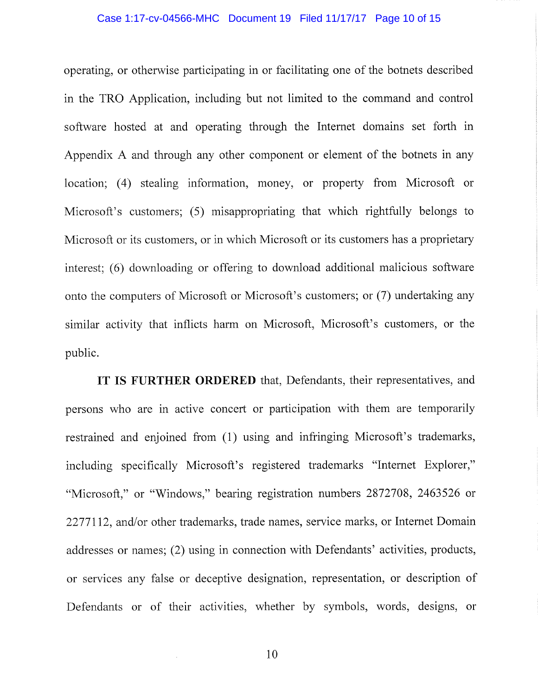#### Case 1:17-cv-04566-MHC Document 19 Filed 11/17/17 Page 10 of 15

operating, or otherwise participating in or facilitating one of the botnets described in the TRO Application, including but not limited to the command and control software hosted at and operating through the Intemet domains set forth in Appendix A and through any other component or element of the botnets in any location; (4) stealing information, money, or property from Microsoft or Microsoft's customers; (5) misappropriating that which rightfully belongs to Microsoft or its customers, or in which Microsoft or its customers has a proprietary interest; (6) downloading or offering to download additional malicious software onto the computers of Microsoft or Microsoft's customers; or (7) undertaking any similar activity that inflicts harm on Microsoft, Microsoft's customers, or the public.

**IT IS FURTHER ORDERED** that, Defendants, their representatives, and persons who are in active concert or participation with them are temporarily restrained and enjoined from (1) using and infringing Microsoft's trademarks, including specifically Microsoft's registered trademarks "Internet Explorer," "Microsoft," or "Windows," bearing registration numbers 2872708, 2463526 or 2277112, and/or other trademarks, trade names, service marks, or Intemet Domain addresses or names; (2) using in connection with Defendants' activities, products, or services any false or deceptive designation, representation, or description of Defendants or of their activities, whether by symbols, words, designs, or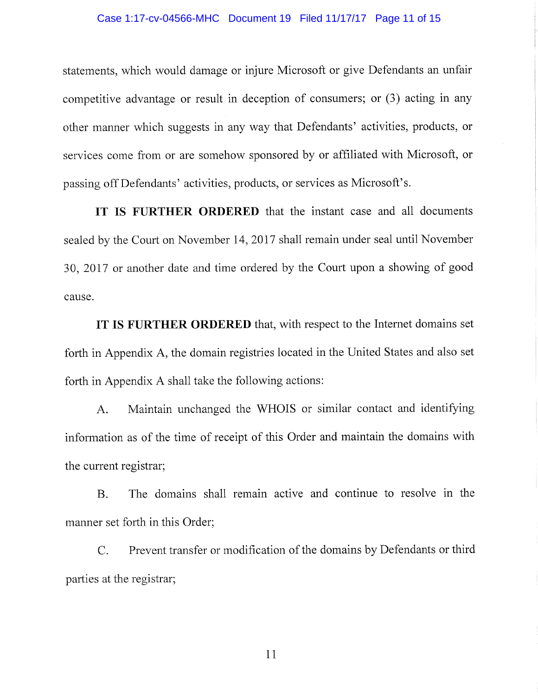#### Case 1:17-cv-04566-MHC Document 19 Filed 11/17/17 Page 11 of 15

statements, which would damage or injure Microsoft or give Defendants an unfair competitive advantage or result in deception of consumers; or (3) acting in any other manner which suggests in any way that Defendants' activities, products, or services come from or are somehow sponsored by or affiliated with Microsoft, or passing off Defendants' activities, products, or services as Microsoft's.

**IT IS FURTHER ORDERED** that the instant case and all documents sealed by the Court on November 14, 2017 shall remain under seal until November 30, 2017 or another date and time ordered by the Court upon a showing of good cause.

**IT IS FURTHER ORDERED** that, with respect to the Internet domains set forth in Appendix A, the domain registries located in the United States and also set forth in Appendix A shall take the following actions:

A. Maintain unchanged the WHOIS or similar contact and identifying information as of the time of receipt of this Order and maintain the domains with the current registrar;

B. The domains shall remain active and continue to resolve in the manner set forth in this Order;

C. Prevent transfer or modification of the domains by Defendants or third parties at the registrar;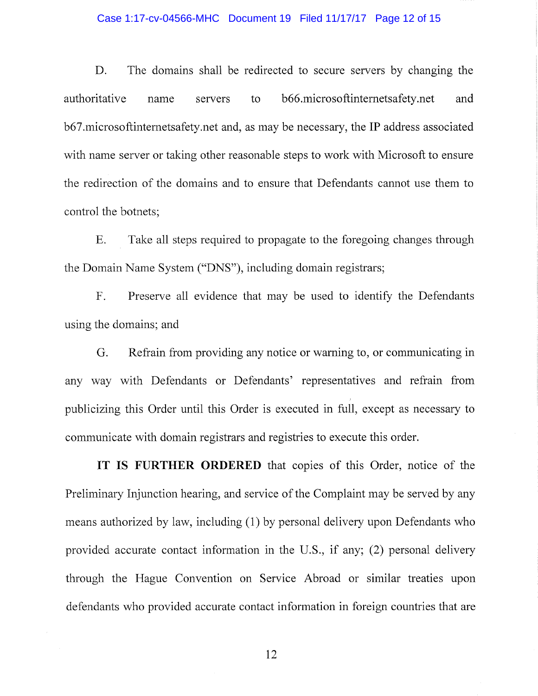#### Case 1:17-cv-04566-MHC Document 19 Filed 11/17/17 Page 12 of 15

D. The domains shall be redirected to secure servers by changing the authoritative name servers to b66.microsoftinternetsafety.net and b67.microsoftintemetsafety.net and, as may be necessary, the IP address associated with name server or taking other reasonable steps to work with Microsoft to ensure the redirection of the domains and to ensure that Defendants cannot use them to control the botnets;

E. Take all steps required to propagate to the foregoing changes through the Domain Name System ("DNS"), including domain registrars;

F. Preserve all evidence that may be used to identify the Defendants using the domains; and

G. Refrain from providing any notice or warning to, or communicating in any way with Defendants or Defendants' representatives and refrain from publicizing this Order until this Order is executed in full, except as necessary to communicate with domain registrars and registries to execute this order.

**IT IS FURTHER ORDERED** that copies of this Order, notice of the Preliminary Injunction hearing, and service of the Complaint may be served by any means authorized by law, including (1) by personal delivery upon Defendants who provided accurate contact information in the U.S., if any; (2) personal delivery through the Hague Convention on Service Abroad or similar treaties upon defendants who provided accurate contact information in foreign countries that are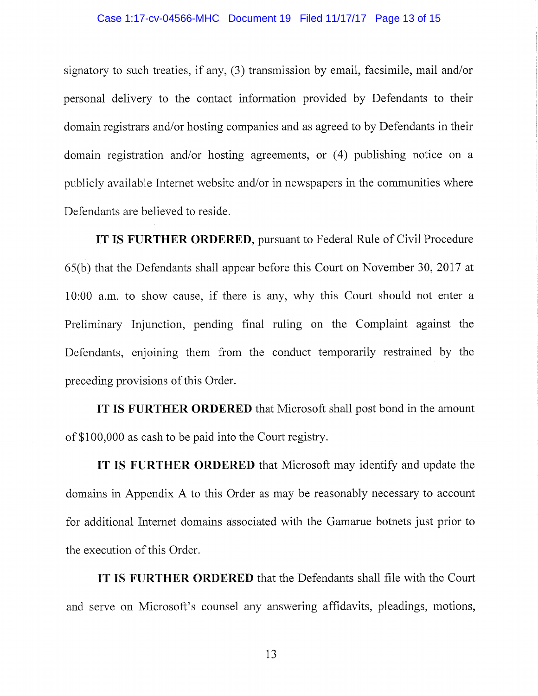#### Case 1:17-cv-04566-MHC Document 19 Filed 11/17/17 Page 13 of 15

signatory to such treaties, if any,  $(3)$  transmission by email, facsimile, mail and/or personal delivery to the contact information provided by Defendants to their domain registrars and/or hosting companies and as agreed to by Defendants in their domain registration and/or hosting agreements, or (4) publishing notice on a publicly available Internet website and/or in newspapers in the communities where Defendants are believed to reside.

**IT IS FURTHER ORDERED,** pursuant to Federal Rule of Civil Procedure 65(b) that the Defendants shall appear before this Court on November 30, 2017 at 10:00 a.m. to show cause, if there is any, why this Court should not enter a Preliminary Injunction, pending final ruling on the Complaint against the Defendants, enjoining them from the conduct temporarily restrained by the preceding provisions of this Order.

**IT IS FURTHER ORDERED** that Microsoft shall post bond in the amount of \$100,000 as cash to be paid into the Court registry.

**IT IS FURTHER ORDERED** that Microsoft may identify and update the domains in Appendix A to this Order as may be reasonably necessary to account for additional Internet domains associated with the Gamarue botnets just prior to the execution of this Order.

**IT** IS **FURTHER ORDERED** that the Defendants shall file with the Court and serve on Microsoft's counsel any answering affidavits, pleadings, motions.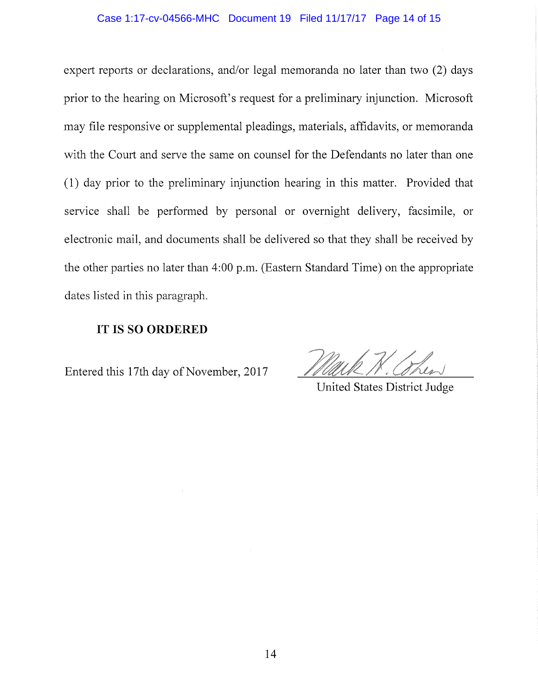#### Case 1:17-cv-04566-MHC Document 19 Filed 11/17/17 Page 14 of 15

expert reports or declarations, and/or legal memoranda no later than two (2) days prior to the hearing on Microsoft's request for a preliminary injunction. Microsoft may file responsive or supplemental pleadings, materials, affidavits, or memoranda with the Court and serve the same on counsel for the Defendants no later than one (1) day prior to the preliminary injunction hearing in this matter. Provided that service shall be performed by personal or overnight delivery, facsimile, or electronic mail, and documents shall be delivered so that they shall be received by the other parties no later than 4:00 p.m. (Eastern Standard Time) on the appropriate dates listed in this paragraph.

# **IT IS SO ORDERED**

Entered this 17th day of November, 2017

United States District Judge